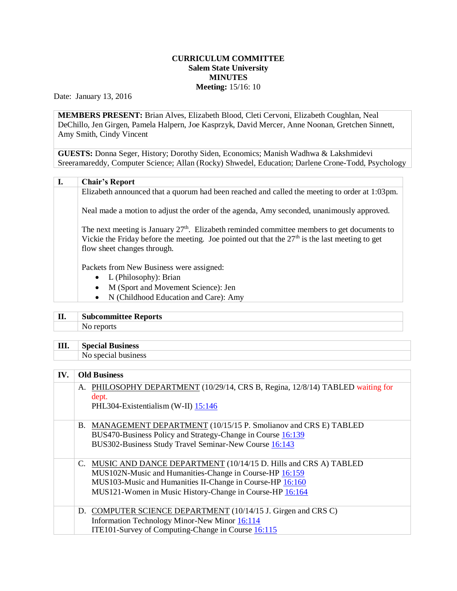## **CURRICULUM COMMITTEE Salem State University MINUTES Meeting:** 15/16: 10

Date: January 13, 2016

**MEMBERS PRESENT:** Brian Alves, Elizabeth Blood, Cleti Cervoni, Elizabeth Coughlan, Neal DeChillo, Jen Girgen, Pamela Halpern, Joe Kasprzyk, David Mercer, Anne Noonan, Gretchen Sinnett, Amy Smith, Cindy Vincent

**GUESTS:** Donna Seger, History; Dorothy Siden, Economics; Manish Wadhwa & Lakshmidevi Sreeramareddy, Computer Science; Allan (Rocky) Shwedel, Education; Darlene Crone-Todd, Psychology

| I. | <b>Chair's Report</b>                                                                                                                                                                                                            |
|----|----------------------------------------------------------------------------------------------------------------------------------------------------------------------------------------------------------------------------------|
|    | Elizabeth announced that a quorum had been reached and called the meeting to order at 1:03pm.                                                                                                                                    |
|    | Neal made a motion to adjust the order of the agenda, Amy seconded, unanimously approved.                                                                                                                                        |
|    | The next meeting is January $27th$ . Elizabeth reminded committee members to get documents to<br>Vickie the Friday before the meeting. Joe pointed out that the $27th$ is the last meeting to get<br>flow sheet changes through. |
|    | Packets from New Business were assigned:                                                                                                                                                                                         |
|    | • L (Philosophy): Brian                                                                                                                                                                                                          |
|    | M (Sport and Movement Science): Jen<br>$\bullet$                                                                                                                                                                                 |
|    | N (Childhood Education and Care): Amy<br>$\bullet$                                                                                                                                                                               |

## **II. Subcommittee Reports** No reports

- 
- **III. Special Business**
	- No special business

| IV. | <b>Old Business</b>                                                                                                                                                                                                                                    |  |
|-----|--------------------------------------------------------------------------------------------------------------------------------------------------------------------------------------------------------------------------------------------------------|--|
|     | A. PHILOSOPHY DEPARTMENT (10/29/14, CRS B, Regina, 12/8/14) TABLED waiting for<br>dept.<br>PHL304-Existentialism (W-II) 15:146                                                                                                                         |  |
|     | B. MANAGEMENT DEPARTMENT (10/15/15 P. Smolianov and CRS E) TABLED<br>BUS470-Business Policy and Strategy-Change in Course 16:139<br>BUS302-Business Study Travel Seminar-New Course 16:143                                                             |  |
|     | C. MUSIC AND DANCE DEPARTMENT (10/14/15 D. Hills and CRS A) TABLED<br>MUS102N-Music and Humanities-Change in Course-HP 16:159<br>MUS103-Music and Humanities II-Change in Course-HP 16:160<br>MUS121-Women in Music History-Change in Course-HP 16:164 |  |
|     | D. COMPUTER SCIENCE DEPARTMENT (10/14/15 J. Girgen and CRS C)<br>Information Technology Minor-New Minor 16:114<br>ITE101-Survey of Computing-Change in Course 16:115                                                                                   |  |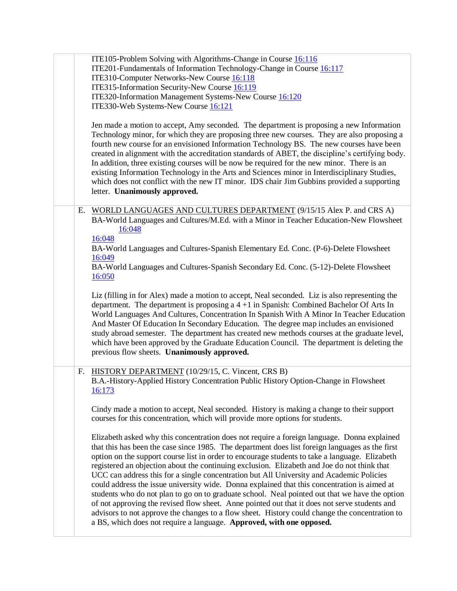|  | ITE105-Problem Solving with Algorithms-Change in Course 16:116<br>ITE201-Fundamentals of Information Technology-Change in Course 16:117<br>ITE310-Computer Networks-New Course 16:118<br>ITE315-Information Security-New Course 16:119<br>ITE320-Information Management Systems-New Course 16:120<br>ITE330-Web Systems-New Course 16:121<br>Jen made a motion to accept, Amy seconded. The department is proposing a new Information<br>Technology minor, for which they are proposing three new courses. They are also proposing a<br>fourth new course for an envisioned Information Technology BS. The new courses have been<br>created in alignment with the accreditation standards of ABET, the discipline's certifying body.<br>In addition, three existing courses will be now be required for the new minor. There is an<br>existing Information Technology in the Arts and Sciences minor in Interdisciplinary Studies,<br>which does not conflict with the new IT minor. IDS chair Jim Gubbins provided a supporting<br>letter. Unanimously approved. |
|--|-------------------------------------------------------------------------------------------------------------------------------------------------------------------------------------------------------------------------------------------------------------------------------------------------------------------------------------------------------------------------------------------------------------------------------------------------------------------------------------------------------------------------------------------------------------------------------------------------------------------------------------------------------------------------------------------------------------------------------------------------------------------------------------------------------------------------------------------------------------------------------------------------------------------------------------------------------------------------------------------------------------------------------------------------------------------|
|  | E. WORLD LANGUAGES AND CULTURES DEPARTMENT (9/15/15 Alex P. and CRS A)<br>BA-World Languages and Cultures/M.Ed. with a Minor in Teacher Education-New Flowsheet<br>16:048<br>16:048<br>BA-World Languages and Cultures-Spanish Elementary Ed. Conc. (P-6)-Delete Flowsheet<br>16:049<br>BA-World Languages and Cultures-Spanish Secondary Ed. Conc. (5-12)-Delete Flowsheet<br>16:050                                                                                                                                                                                                                                                                                                                                                                                                                                                                                                                                                                                                                                                                             |
|  | Liz (filling in for Alex) made a motion to accept, Neal seconded. Liz is also representing the<br>department. The department is proposing a $4 + 1$ in Spanish: Combined Bachelor Of Arts In<br>World Languages And Cultures, Concentration In Spanish With A Minor In Teacher Education<br>And Master Of Education In Secondary Education. The degree map includes an envisioned<br>study abroad semester. The department has created new methods courses at the graduate level,<br>which have been approved by the Graduate Education Council. The department is deleting the<br>previous flow sheets. Unanimously approved.                                                                                                                                                                                                                                                                                                                                                                                                                                    |
|  | HISTORY DEPARTMENT (10/29/15, C. Vincent, CRS B)<br>F.<br>B.A.-History-Applied History Concentration Public History Option-Change in Flowsheet<br>16:173                                                                                                                                                                                                                                                                                                                                                                                                                                                                                                                                                                                                                                                                                                                                                                                                                                                                                                          |
|  | Cindy made a motion to accept, Neal seconded. History is making a change to their support<br>courses for this concentration, which will provide more options for students.                                                                                                                                                                                                                                                                                                                                                                                                                                                                                                                                                                                                                                                                                                                                                                                                                                                                                        |
|  | Elizabeth asked why this concentration does not require a foreign language. Donna explained<br>that this has been the case since 1985. The department does list foreign languages as the first<br>option on the support course list in order to encourage students to take a language. Elizabeth<br>registered an objection about the continuing exclusion. Elizabeth and Joe do not think that<br>UCC can address this for a single concentration but All University and Academic Policies<br>could address the issue university wide. Donna explained that this concentration is aimed at<br>students who do not plan to go on to graduate school. Neal pointed out that we have the option<br>of not approving the revised flow sheet. Anne pointed out that it does not serve students and<br>advisors to not approve the changes to a flow sheet. History could change the concentration to<br>a BS, which does not require a language. Approved, with one opposed.                                                                                          |
|  |                                                                                                                                                                                                                                                                                                                                                                                                                                                                                                                                                                                                                                                                                                                                                                                                                                                                                                                                                                                                                                                                   |